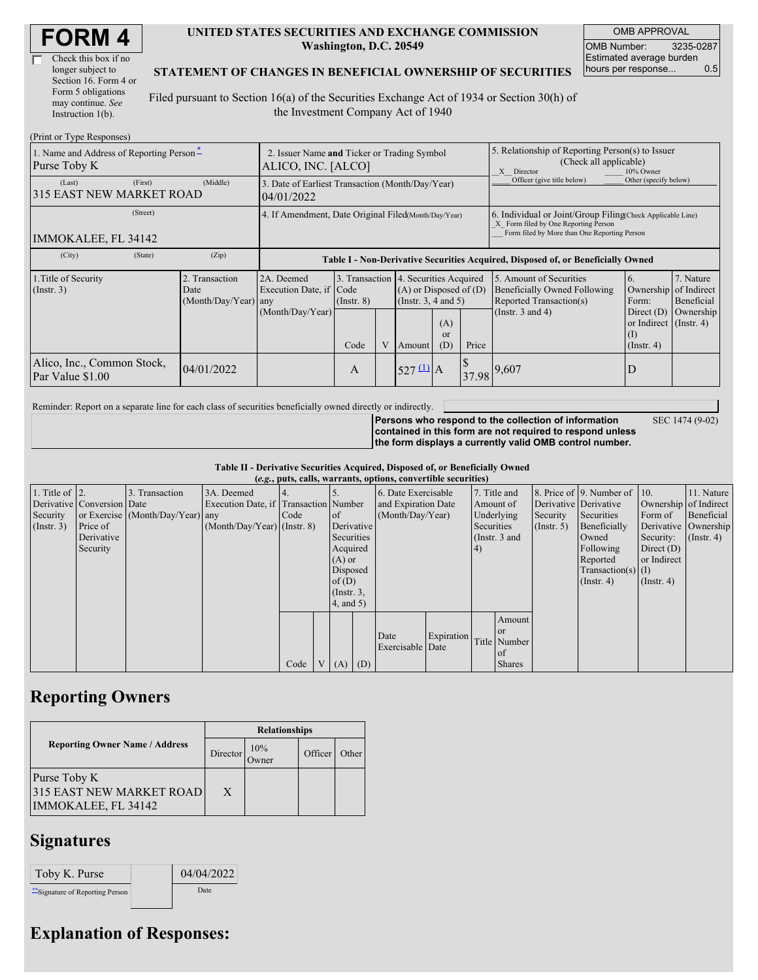| Check this box if no  |
|-----------------------|
| longer subject to     |
| Section 16. Form 4 or |
| Form 5 obligations    |
| may continue. See     |
| Instruction 1(b).     |

#### **UNITED STATES SECURITIES AND EXCHANGE COMMISSION Washington, D.C. 20549**

OMB APPROVAL OMB Number: 3235-0287 Estimated average burden hours per response... 0.5

#### **STATEMENT OF CHANGES IN BENEFICIAL OWNERSHIP OF SECURITIES**

Filed pursuant to Section 16(a) of the Securities Exchange Act of 1934 or Section 30(h) of the Investment Company Act of 1940

| (Print or Type Responses)                                |                                                                   |                                                                                  |                         |   |                                                                                                                                      |  |                                                                                                                                                    |                                                                                                             |                                                                                                                        |                                      |
|----------------------------------------------------------|-------------------------------------------------------------------|----------------------------------------------------------------------------------|-------------------------|---|--------------------------------------------------------------------------------------------------------------------------------------|--|----------------------------------------------------------------------------------------------------------------------------------------------------|-------------------------------------------------------------------------------------------------------------|------------------------------------------------------------------------------------------------------------------------|--------------------------------------|
| 1. Name and Address of Reporting Person*<br>Purse Toby K | 2. Issuer Name and Ticker or Trading Symbol<br>ALICO, INC. [ALCO] |                                                                                  |                         |   |                                                                                                                                      |  | 5. Relationship of Reporting Person(s) to Issuer<br>(Check all applicable)<br>X Director<br>10% Owner                                              |                                                                                                             |                                                                                                                        |                                      |
| (First)<br>(Last)<br>315 EAST NEW MARKET ROAD            | (Middle)                                                          | 3. Date of Earliest Transaction (Month/Day/Year)<br>04/01/2022                   |                         |   |                                                                                                                                      |  |                                                                                                                                                    | Officer (give title below)                                                                                  | Other (specify below)                                                                                                  |                                      |
| (Street)<br>IMMOKALEE, FL 34142                          | 4. If Amendment, Date Original Filed(Month/Day/Year)              |                                                                                  |                         |   |                                                                                                                                      |  | 6. Individual or Joint/Group Filing Check Applicable Line)<br>X Form filed by One Reporting Person<br>Form filed by More than One Reporting Person |                                                                                                             |                                                                                                                        |                                      |
| (City)<br>(State)                                        | (Zip)                                                             | Table I - Non-Derivative Securities Acquired, Disposed of, or Beneficially Owned |                         |   |                                                                                                                                      |  |                                                                                                                                                    |                                                                                                             |                                                                                                                        |                                      |
| 1. Title of Security<br>$($ Instr. 3 $)$                 | 2. Transaction<br>Date<br>(Month/Day/Year) any                    | 2A. Deemed<br>Execution Date, if Code<br>(Month/Day/Year)                        | $($ Instr. $8)$<br>Code | V | 3. Transaction 4. Securities Acquired<br>$(A)$ or Disposed of $(D)$<br>(Insert. 3, 4 and 5)<br>(A)<br><sub>or</sub><br>(D)<br>Amount |  | Price                                                                                                                                              | 5. Amount of Securities<br>Beneficially Owned Following<br>Reported Transaction(s)<br>(Instr. $3$ and $4$ ) | 6.<br>Ownership of Indirect<br>Form:<br>Direct $(D)$<br>or Indirect $($ Instr. 4 $)$<br>$\left($ I<br>$($ Instr. 4 $)$ | 7. Nature<br>Beneficial<br>Ownership |
| Alico, Inc., Common Stock,<br>Par Value \$1.00           | 04/01/2022                                                        |                                                                                  | A                       |   | $527 \underline{u}$ A                                                                                                                |  | 37.98                                                                                                                                              | 9,607                                                                                                       | D                                                                                                                      |                                      |

Reminder: Report on a separate line for each class of securities beneficially owned directly or indirectly.

SEC 1474 (9-02)

**Persons who respond to the collection of information contained in this form are not required to respond unless the form displays a currently valid OMB control number.**

**Table II - Derivative Securities Acquired, Disposed of, or Beneficially Owned (***e.g.***, puts, calls, warrants, options, convertible securities)**

| $(c, g, pus, can, wariants, vpuons, convcituvto scentuvos)$ |                            |                                  |                                       |      |                |                  |            |                     |            |            |                 |                       |                              |                       |                      |
|-------------------------------------------------------------|----------------------------|----------------------------------|---------------------------------------|------|----------------|------------------|------------|---------------------|------------|------------|-----------------|-----------------------|------------------------------|-----------------------|----------------------|
| 1. Title of $\vert$ 2.                                      |                            | 3. Transaction                   | 3A. Deemed                            |      |                |                  |            | 6. Date Exercisable |            |            | 7. Title and    |                       | 8. Price of 9. Number of 10. |                       | 11. Nature           |
|                                                             | Derivative Conversion Date |                                  | Execution Date, if Transaction Number |      |                |                  |            | and Expiration Date |            |            | Amount of       | Derivative Derivative |                              | Ownership of Indirect |                      |
| Security                                                    |                            | or Exercise (Month/Day/Year) any |                                       | Code |                | <b>l</b> of      |            | (Month/Day/Year)    |            |            | Underlying      | Security              | Securities                   | Form of               | Beneficial           |
| $($ Instr. 3 $)$                                            | Price of                   |                                  | $(Month/Day/Year)$ (Instr. 8)         |      |                |                  | Derivative |                     |            | Securities |                 | $($ Instr. 5 $)$      | Beneficially                 |                       | Derivative Ownership |
|                                                             | Derivative                 |                                  |                                       |      |                | Securities       |            |                     |            |            | (Instr. $3$ and |                       | Owned                        | Security:             | $($ Instr. 4 $)$     |
|                                                             | Security                   |                                  |                                       |      |                | Acquired         |            |                     |            | (4)        |                 |                       | Following                    | Direct $(D)$          |                      |
|                                                             |                            |                                  |                                       |      |                | $(A)$ or         |            |                     |            |            |                 |                       | Reported                     | or Indirect           |                      |
|                                                             |                            |                                  |                                       |      |                | Disposed         |            |                     |            |            |                 |                       | Transaction(s) $(I)$         |                       |                      |
|                                                             |                            |                                  |                                       |      |                | of $(D)$         |            |                     |            |            |                 |                       | $($ Instr. 4 $)$             | $($ Instr. 4 $)$      |                      |
|                                                             |                            |                                  |                                       |      |                | $($ Instr. $3$ , |            |                     |            |            |                 |                       |                              |                       |                      |
|                                                             |                            |                                  |                                       |      |                | 4, and 5)        |            |                     |            |            |                 |                       |                              |                       |                      |
|                                                             |                            |                                  |                                       |      |                |                  |            |                     |            |            | Amount          |                       |                              |                       |                      |
|                                                             |                            |                                  |                                       |      |                |                  |            | Date                | Expiration |            | or or           |                       |                              |                       |                      |
|                                                             |                            |                                  |                                       |      |                |                  |            | Exercisable Date    |            |            | Title Number    |                       |                              |                       |                      |
|                                                             |                            |                                  |                                       |      |                |                  |            |                     |            |            | of              |                       |                              |                       |                      |
|                                                             |                            |                                  |                                       | Code | V <sub>1</sub> | $(A)$ $(D)$      |            |                     |            |            | <b>Shares</b>   |                       |                              |                       |                      |

# **Reporting Owners**

|                                                                 | <b>Relationships</b> |                      |         |       |  |  |  |  |
|-----------------------------------------------------------------|----------------------|----------------------|---------|-------|--|--|--|--|
| <b>Reporting Owner Name / Address</b>                           | Director             | 10%<br><b>J</b> wner | Officer | Other |  |  |  |  |
| Purse Toby K<br>315 EAST NEW MARKET ROAD<br>IMMOKALEE, FL 34142 | X                    |                      |         |       |  |  |  |  |

# **Signatures**

| Toby K. Purse                    | 04/04/2022 |
|----------------------------------|------------|
| ** Signature of Reporting Person | Date       |

## **Explanation of Responses:**